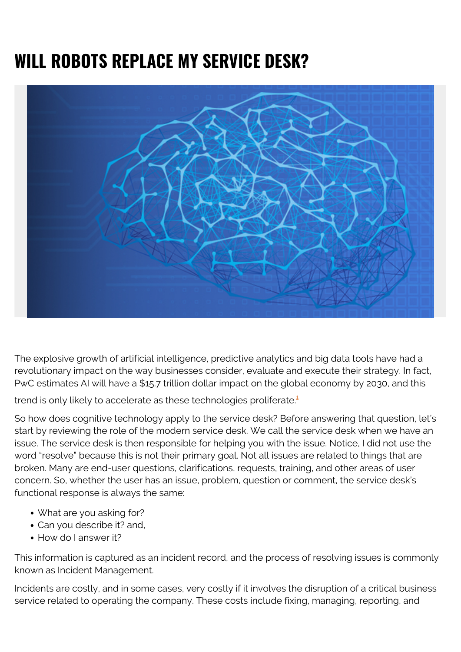## **WILL ROBOTS REPLACE MY SERVICE DESK?**



The explosive growth of artificial intelligence, predictive analytics and big data tools have had a revolutionary impact on the way businesses consider, evaluate and execute their strategy. In fact, PwC estimates AI will have a \$15.7 trillion dollar impact on the global economy by 2030, and this

trend is only likely to accelerate as these technologies proliferate.<sup>[1](#page--1-0)</sup>

So how does cognitive technology apply to the service desk? Before answering that question, let's start by reviewing the role of the modern service desk. We call the service desk when we have an issue. The service desk is then responsible for helping you with the issue. Notice, I did not use the word "resolve" because this is not their primary goal. Not all issues are related to things that are broken. Many are end-user questions, clarifications, requests, training, and other areas of user concern. So, whether the user has an issue, problem, question or comment, the service desk's functional response is always the same:

- What are you asking for?
- Can you describe it? and,
- How do I answer it?

This information is captured as an incident record, and the process of resolving issues is commonly known as Incident Management.

Incidents are costly, and in some cases, very costly if it involves the disruption of a critical business service related to operating the company. These costs include fixing, managing, reporting, and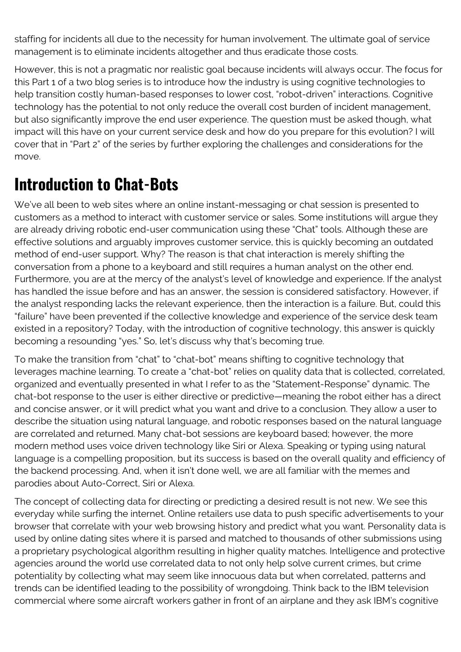staffing for incidents all due to the necessity for human involvement. The ultimate goal of service management is to eliminate incidents altogether and thus eradicate those costs.

However, this is not a pragmatic nor realistic goal because incidents will always occur. The focus for this Part 1 of a two blog series is to introduce how the industry is using cognitive technologies to help transition costly human-based responses to lower cost, "robot-driven" interactions. Cognitive technology has the potential to not only reduce the overall cost burden of incident management, but also significantly improve the end user experience. The question must be asked though, what impact will this have on your current service desk and how do you prepare for this evolution? I will cover that in "Part 2" of the series by further exploring the challenges and considerations for the move.

## **Introduction to Chat-Bots**

We've all been to web sites where an online instant-messaging or chat session is presented to customers as a method to interact with customer service or sales. Some institutions will argue they are already driving robotic end-user communication using these "Chat" tools. Although these are effective solutions and arguably improves customer service, this is quickly becoming an outdated method of end-user support. Why? The reason is that chat interaction is merely shifting the conversation from a phone to a keyboard and still requires a human analyst on the other end. Furthermore, you are at the mercy of the analyst's level of knowledge and experience. If the analyst has handled the issue before and has an answer, the session is considered satisfactory. However, if the analyst responding lacks the relevant experience, then the interaction is a failure. But, could this "failure" have been prevented if the collective knowledge and experience of the service desk team existed in a repository? Today, with the introduction of cognitive technology, this answer is quickly becoming a resounding "yes." So, let's discuss why that's becoming true.

To make the transition from "chat" to "chat-bot" means shifting to cognitive technology that leverages machine learning. To create a "chat-bot" relies on quality data that is collected, correlated, organized and eventually presented in what I refer to as the "Statement-Response" dynamic. The chat-bot response to the user is either directive or predictive—meaning the robot either has a direct and concise answer, or it will predict what you want and drive to a conclusion. They allow a user to describe the situation using natural language, and robotic responses based on the natural language are correlated and returned. Many chat-bot sessions are keyboard based; however, the more modern method uses voice driven technology like Siri or Alexa. Speaking or typing using natural language is a compelling proposition, but its success is based on the overall quality and efficiency of the backend processing. And, when it isn't done well, we are all familiar with the memes and parodies about Auto-Correct, Siri or Alexa.

The concept of collecting data for directing or predicting a desired result is not new. We see this everyday while surfing the internet. Online retailers use data to push specific advertisements to your browser that correlate with your web browsing history and predict what you want. Personality data is used by online dating sites where it is parsed and matched to thousands of other submissions using a proprietary psychological algorithm resulting in higher quality matches. Intelligence and protective agencies around the world use correlated data to not only help solve current crimes, but crime potentiality by collecting what may seem like innocuous data but when correlated, patterns and trends can be identified leading to the possibility of wrongdoing. Think back to the IBM television commercial where some aircraft workers gather in front of an airplane and they ask IBM's cognitive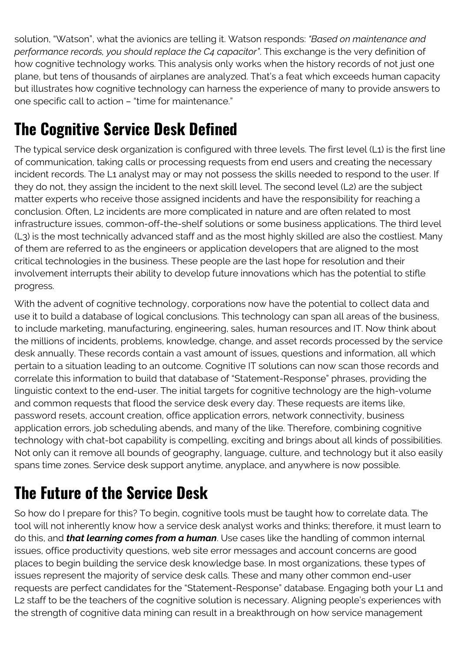solution, "Watson", what the avionics are telling it. Watson responds: *"Based on maintenance and performance records, you should replace the C4 capacitor"*. This exchange is the very definition of how cognitive technology works. This analysis only works when the history records of not just one plane, but tens of thousands of airplanes are analyzed. That's a feat which exceeds human capacity but illustrates how cognitive technology can harness the experience of many to provide answers to one specific call to action – "time for maintenance."

## **The Cognitive Service Desk Defined**

The typical service desk organization is configured with three levels. The first level (L1) is the first line of communication, taking calls or processing requests from end users and creating the necessary incident records. The L1 analyst may or may not possess the skills needed to respond to the user. If they do not, they assign the incident to the next skill level. The second level (L2) are the subject matter experts who receive those assigned incidents and have the responsibility for reaching a conclusion. Often, L2 incidents are more complicated in nature and are often related to most infrastructure issues, common-off-the-shelf solutions or some business applications. The third level (L3) is the most technically advanced staff and as the most highly skilled are also the costliest. Many of them are referred to as the engineers or application developers that are aligned to the most critical technologies in the business. These people are the last hope for resolution and their involvement interrupts their ability to develop future innovations which has the potential to stifle progress.

With the advent of cognitive technology, corporations now have the potential to collect data and use it to build a database of logical conclusions. This technology can span all areas of the business, to include marketing, manufacturing, engineering, sales, human resources and IT. Now think about the millions of incidents, problems, knowledge, change, and asset records processed by the service desk annually. These records contain a vast amount of issues, questions and information, all which pertain to a situation leading to an outcome. Cognitive IT solutions can now scan those records and correlate this information to build that database of "Statement-Response" phrases, providing the linguistic context to the end-user. The initial targets for cognitive technology are the high-volume and common requests that flood the service desk every day. These requests are items like, password resets, account creation, office application errors, network connectivity, business application errors, job scheduling abends, and many of the like. Therefore, combining cognitive technology with chat-bot capability is compelling, exciting and brings about all kinds of possibilities. Not only can it remove all bounds of geography, language, culture, and technology but it also easily spans time zones. Service desk support anytime, anyplace, and anywhere is now possible.

## **The Future of the Service Desk**

So how do I prepare for this? To begin, cognitive tools must be taught how to correlate data. The tool will not inherently know how a service desk analyst works and thinks; therefore, it must learn to do this, and *that learning comes from a human*. Use cases like the handling of common internal issues, office productivity questions, web site error messages and account concerns are good places to begin building the service desk knowledge base. In most organizations, these types of issues represent the majority of service desk calls. These and many other common end-user requests are perfect candidates for the "Statement-Response" database. Engaging both your L1 and L2 staff to be the teachers of the cognitive solution is necessary. Aligning people's experiences with the strength of cognitive data mining can result in a breakthrough on how service management